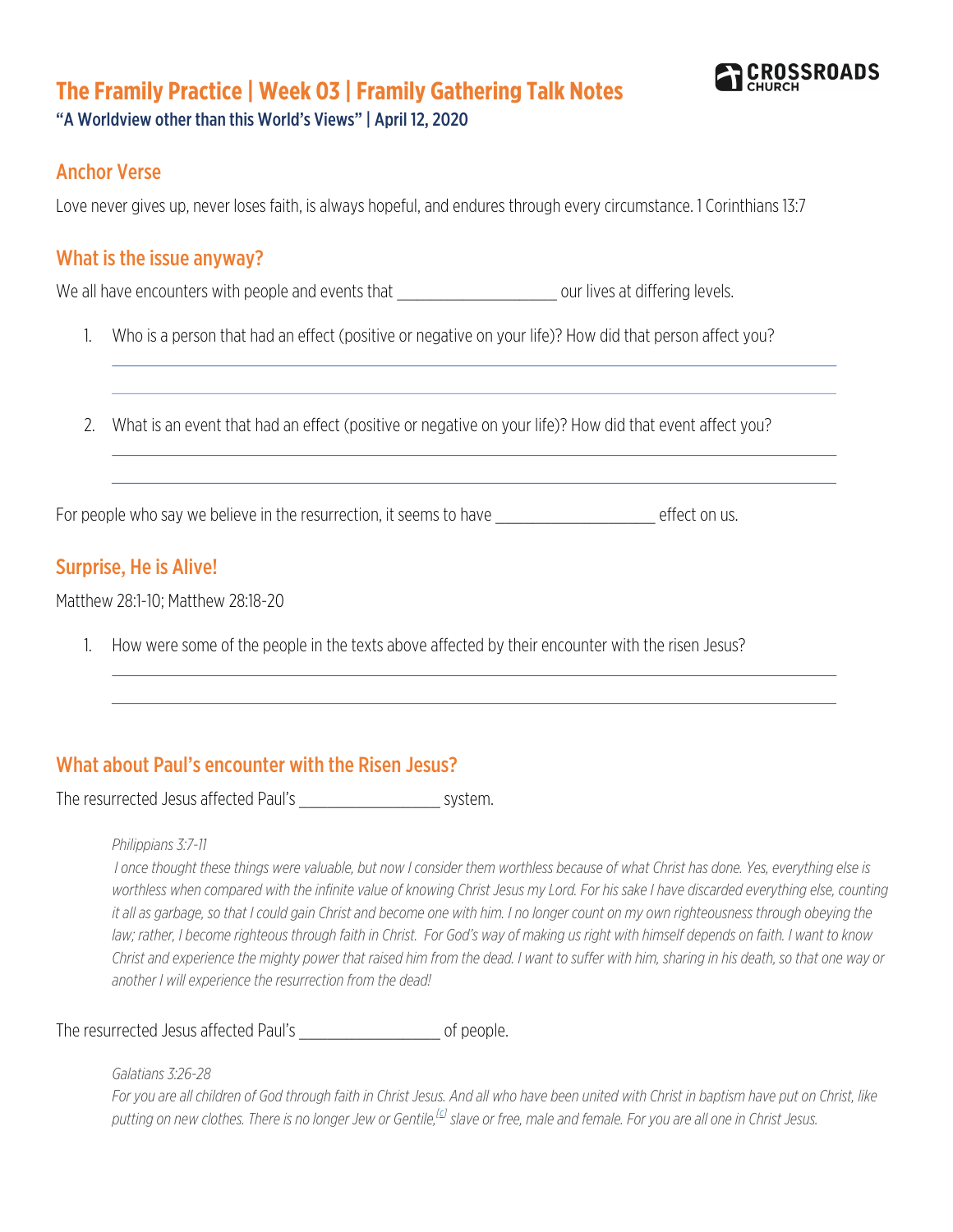# **The Framily Practice | Week 03 | Framily Gathering Talk Notes**



"A Worldview other than this World's Views" | April 12, 2020

## Anchor Verse

Love never gives up, never loses faith, is always hopeful, and endures through every circumstance. 1 Corinthians 13:7

## What is the issue anyway?

We all have encounters with people and events that example that the set our lives at differing levels.

1. Who is a person that had an effect (positive or negative on your life)? How did that person affect you?

2. What is an event that had an effect (positive or negative on your life)? How did that event affect you?

For people who say we believe in the resurrection, it seems to have \_\_\_\_\_\_\_\_\_\_\_\_\_\_\_\_\_\_\_\_\_\_\_\_\_\_ effect on us.

## Surprise, He is Alive!

Matthew 28:1-10; Matthew 28:18-20

1. How were some of the people in the texts above affected by their encounter with the risen Jesus?

## What about Paul's encounter with the Risen Jesus?

The resurrected Jesus affected Paul's \_\_\_\_\_\_\_\_\_\_\_\_\_\_\_ system.

#### *Philippians 3:7-11*

*I once thought these things were valuable, but now I consider them worthless because of what Christ has done. Yes, everything else is*  worthless when compared with the infinite value of knowing Christ Jesus my Lord. For his sake I have discarded everything else, counting *it all as garbage, so that I could gain Christ and become one with him. I no longer count on my own righteousness through obeying the law; rather, I become righteous through faith in Christ. For God's way of making us right with himself depends on faith. I want to know Christ and experience the mighty power that raised him from the dead. I want to suffer with him, sharing in his death, so that one way or another I will experience the resurrection from the dead!*

The resurrected Jesus affected Paul's \_\_\_\_\_\_\_\_\_\_\_\_\_\_\_\_\_\_\_\_\_\_\_\_ of people.

*Galatians 3:26-28*

*For you are all children of God through faith in Christ Jesus. And all who have been united with Christ in baptism have put on Christ, like putting on new clothes. There is no longer Jew or Gentile,[c] slave or free, male and female. For you are all one in Christ Jesus.*